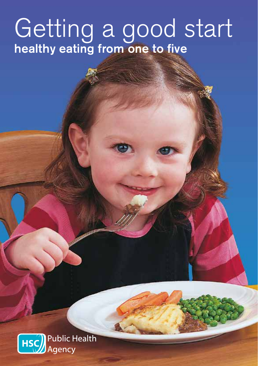# Getting a good start healthy eating from one to five

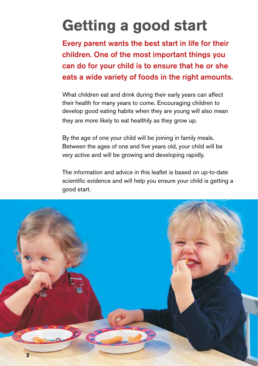# **Getting a good start**

Every parent wants the best start in life for their children. One of the most important things you can do for your child is to ensure that he or she eats a wide variety of foods in the right amounts.

What children eat and drink during their early years can affect their health for many years to come. Encouraging children to develop good eating habits when they are young will also mean they are more likely to eat healthily as they grow up.

By the age of one your child will be joining in family meals. Between the ages of one and five years old, your child will be very active and will be growing and developing rapidly.

The information and advice in this leaflet is based on up-to-date scientific evidence and will help you ensure your child is getting a good start.

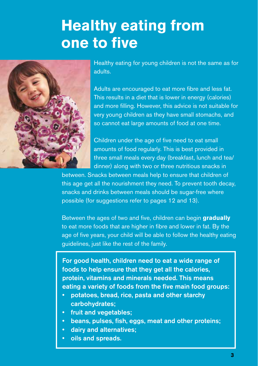## **Healthy eating from one to five**



Healthy eating for young children is not the same as for adults.

Adults are encouraged to eat more fibre and less fat. This results in a diet that is lower in energy (calories) and more filling. However, this advice is not suitable for very young children as they have small stomachs, and so cannot eat large amounts of food at one time.

Children under the age of five need to eat small amounts of food regularly. This is best provided in three small meals every day (breakfast, lunch and tea/ dinner) along with two or three nutritious snacks in

between. Snacks between meals help to ensure that children of this age get all the nourishment they need. To prevent tooth decay, snacks and drinks between meals should be sugar-free where possible (for suggestions refer to pages 12 and 13).

Between the ages of two and five, children can begin **gradually** to eat more foods that are higher in fibre and lower in fat. By the age of five years, your child will be able to follow the healthy eating guidelines, just like the rest of the family.

For good health, children need to eat a wide range of foods to help ensure that they get all the calories, protein, vitamins and minerals needed. This means eating a variety of foods from the five main food groups:

- potatoes, bread, rice, pasta and other starchy carbohydrates;
- fruit and vegetables;
- beans, pulses, fish, eggs, meat and other proteins;
- dairy and alternatives;
- oils and spreads.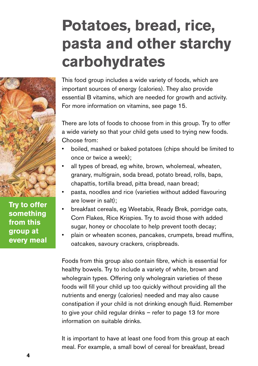# **Potatoes, bread, rice, pasta and other starchy carbohydrates**



**Try to offer something from this group at every meal**

This food group includes a wide variety of foods, which are important sources of energy (calories). They also provide essential B vitamins, which are needed for growth and activity. For more information on vitamins, see page 15.

There are lots of foods to choose from in this group. Try to offer a wide variety so that your child gets used to trying new foods. Choose from:

- boiled, mashed or baked potatoes (chips should be limited to once or twice a week);
- all types of bread, eg white, brown, wholemeal, wheaten, granary, multigrain, soda bread, potato bread, rolls, baps, chapattis, tortilla bread, pitta bread, naan bread;
- pasta, noodles and rice (varieties without added flavouring are lower in salt);
- breakfast cereals, eg Weetabix, Ready Brek, porridge oats, Corn Flakes, Rice Krispies. Try to avoid those with added sugar, honey or chocolate to help prevent tooth decay;
- plain or wheaten scones, pancakes, crumpets, bread muffins, oatcakes, savoury crackers, crispbreads.

Foods from this group also contain fibre, which is essential for healthy bowels. Try to include a variety of white, brown and wholegrain types. Offering only wholegrain varieties of these foods will fill your child up too quickly without providing all the nutrients and energy (calories) needed and may also cause constipation if your child is not drinking enough fluid. Remember to give your child regular drinks – refer to page 13 for more information on suitable drinks.

It is important to have at least one food from this group at each meal. For example, a small bowl of cereal for breakfast, bread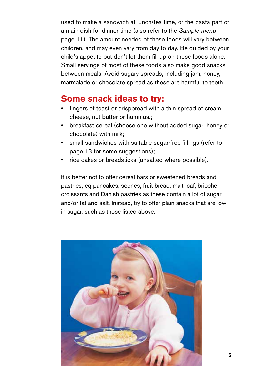used to make a sandwich at lunch/tea time, or the pasta part of a main dish for dinner time (also refer to the *Sample menu* page 11). The amount needed of these foods will vary between children, and may even vary from day to day. Be guided by your child's appetite but don't let them fill up on these foods alone. Small servings of most of these foods also make good snacks between meals. Avoid sugary spreads, including jam, honey, marmalade or chocolate spread as these are harmful to teeth.

### **Some snack ideas to try:**

- fingers of toast or crispbread with a thin spread of cream cheese, nut butter or hummus.;
- breakfast cereal (choose one without added sugar, honey or chocolate) with milk;
- small sandwiches with suitable sugar-free fillings (refer to page 13 for some suggestions);
- rice cakes or breadsticks (unsalted where possible).

It is better not to offer cereal bars or sweetened breads and pastries, eg pancakes, scones, fruit bread, malt loaf, brioche, croissants and Danish pastries as these contain a lot of sugar and/or fat and salt. Instead, try to offer plain snacks that are low in sugar, such as those listed above.

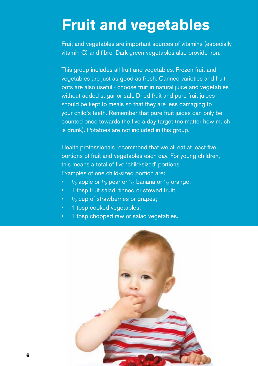### **Fruit and vegetables**

Fruit and vegetables are important sources of vitamins (especially vitamin C) and fibre. Dark green vegetables also provide iron.

This group includes all fruit and vegetables. Frozen fruit and vegetables are just as good as fresh. Canned varieties and fruit pots are also useful - choose fruit in natural juice and vegetables without added sugar or salt. Dried fruit and pure fruit juices should be kept to meals so that they are less damaging to your child's teeth. Remember that pure fruit juices can only be counted once towards the five a day target (no matter how much is drunk). Potatoes are not included in this group.

Health professionals recommend that we all eat at least five portions of fruit and vegetables each day. For young children, this means a total of five 'child-sized' portions. Examples of one child-sized portion are:

- $1/2$  apple or  $1/2$  pear or  $1/2$  banana or  $1/2$  orange;
- 1 tbsp fruit salad, tinned or stewed fruit;
- $\bullet$   $\rightarrow$   $\frac{1}{2}$  cup of strawberries or grapes;
- 1 tbsp cooked vegetables;
- 1 tbsp chopped raw or salad vegetables.

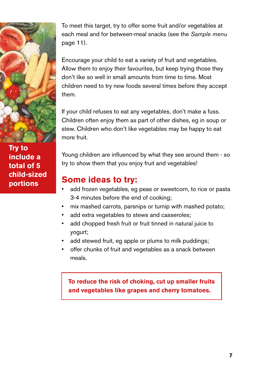

**Try to include a total of 5 child-sized portions**

To meet this target, try to offer some fruit and/or vegetables at each meal and for between-meal snacks (see the *Sample menu* page 11).

Encourage your child to eat a variety of fruit and vegetables. Allow them to enjoy their favourites, but keep trying those they don't like so well in small amounts from time to time. Most children need to try new foods several times before they accept them.

If your child refuses to eat any vegetables, don't make a fuss. Children often enjoy them as part of other dishes, eg in soup or stew. Children who don't like vegetables may be happy to eat more fruit.

Young children are influenced by what they see around them - so try to show them that you enjoy fruit and vegetables!

### **Some ideas to try:**

- add frozen vegetables, eg peas or sweetcorn, to rice or pasta 3-4 minutes before the end of cooking;
- mix mashed carrots, parsnips or turnip with mashed potato;
- add extra vegetables to stews and casseroles;
- add chopped fresh fruit or fruit tinned in natural juice to yogurt;
- add stewed fruit, eg apple or plums to milk puddings;
- offer chunks of fruit and vegetables as a snack between meals.

**To reduce the risk of choking, cut up smaller fruits and vegetables like grapes and cherry tomatoes.**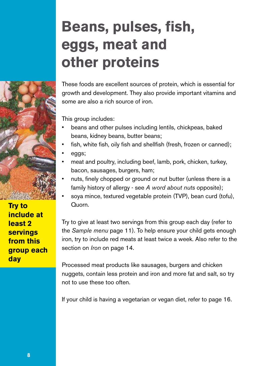## **Beans, pulses, fish, eggs, meat and other proteins**

**Try to include at least 2 servings from this group each day**

These foods are excellent sources of protein, which is essential for growth and development. They also provide important vitamins and some are also a rich source of iron.

This group includes:

- beans and other pulses including lentils, chickpeas, baked beans, kidney beans, butter beans;
- fish, white fish, oily fish and shellfish (fresh, frozen or canned);
- eggs;
- meat and poultry, including beef, lamb, pork, chicken, turkey, bacon, sausages, burgers, ham;
- nuts, finely chopped or ground or nut butter (unless there is a family history of allergy - see *A word about nuts* opposite);
- soya mince, textured vegetable protein (TVP), bean curd (tofu), Quorn.

Try to give at least two servings from this group each day (refer to the *Sample menu* page 11). To help ensure your child gets enough iron, try to include red meats at least twice a week. Also refer to the section on *Iron* on page 14.

Processed meat products like sausages, burgers and chicken nuggets, contain less protein and iron and more fat and salt, so try not to use these too often.

If your child is having a vegetarian or vegan diet, refer to page 16.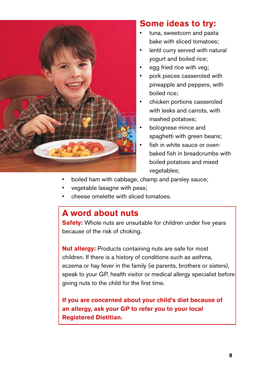

### **Some ideas to try:**

- tuna, sweetcorn and pasta bake with sliced tomatoes;
- lentil curry served with natural yogurt and boiled rice;
- egg fried rice with veg;
- pork pieces casseroled with pineapple and peppers, with boiled rice;
- chicken portions casseroled with leeks and carrots, with mashed potatoes;
- bolognese mince and spaghetti with green beans;
- fish in white sauce or ovenbaked fish in breadcrumbs with boiled potatoes and mixed vegetables;
- boiled ham with cabbage, champ and parsley sauce;
- vegetable lasagne with peas:
- cheese omelette with sliced tomatoes.

### **A word about nuts**

**Safety:** Whole nuts are unsuitable for children under five years because of the risk of choking.

**Nut allergy:** Products containing nuts are safe for most children. If there is a history of conditions such as asthma, eczema or hay fever in the family (ie parents, brothers or sisters), speak to your GP, health visitor or medical allergy specialist before giving nuts to the child for the first time.

**If you are concerned about your child's diet because of an allergy, ask your GP to refer you to your local Registered Dietitian.**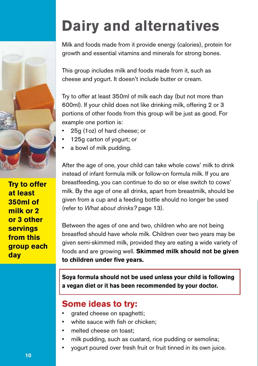

**Try to offer at least 350ml of milk or 2 or 3 other servings from this group each day**

# **Dairy and alternatives**

Milk and foods made from it provide energy (calories), protein for growth and essential vitamins and minerals for strong bones.

This group includes milk and foods made from it, such as cheese and yogurt. It doesn't include butter or cream.

Try to offer at least 350ml of milk each day (but not more than 600ml). If your child does not like drinking milk, offering 2 or 3 portions of other foods from this group will be just as good. For example one portion is:

- 25g (1oz) of hard cheese; or
- 125g carton of yogurt; or
- a bowl of milk pudding.

After the age of one, your child can take whole cows' milk to drink instead of infant formula milk or follow-on formula milk. If you are breastfeeding, you can continue to do so or else switch to cows' milk. By the age of one all drinks, apart from breastmilk, should be given from a cup and a feeding bottle should no longer be used (refer to *What about drinks?* page 13).

Between the ages of one and two, children who are not being breastfed should have whole milk. Children over two years may be given semi-skimmed milk, provided they are eating a wide variety of foods and are growing well. **Skimmed milk should not be given to children under five years.**

**Soya formula should not be used unless your child is following a vegan diet or it has been recommended by your doctor.** 

### **Some ideas to try:**

- grated cheese on spaghetti;
- white sauce with fish or chicken;
- melted cheese on toast:
- milk pudding, such as custard, rice pudding or semolina;
- yogurt poured over fresh fruit or fruit tinned in its own juice.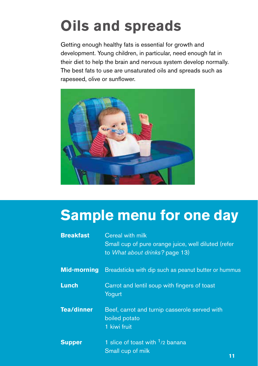# **Oils and spreads**

Getting enough healthy fats is essential for growth and development. Young children, in particular, need enough fat in their diet to help the brain and nervous system develop normally. The best fats to use are unsaturated oils and spreads such as rapeseed, olive or sunflower.



### **Sample menu for one day**

| <b>Breakfast</b>   | Cereal with milk<br>Small cup of pure orange juice, well diluted (refer<br>to What about drinks? page 13) |  |
|--------------------|-----------------------------------------------------------------------------------------------------------|--|
| <b>Mid-morning</b> | Breadsticks with dip such as peanut butter or hummus                                                      |  |
| <b>Lunch</b>       | Carrot and lentil soup with fingers of toast<br>Yogurt                                                    |  |
| <b>Tea/dinner</b>  | Beef, carrot and turnip casserole served with<br>boiled potato<br>1 kiwi fruit                            |  |
| <b>Supper</b>      | 1 slice of toast with <sup>1</sup> /2 banana<br>Small cup of milk                                         |  |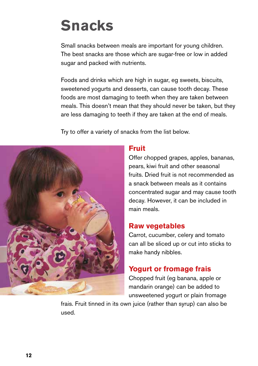## **Snacks**

Small snacks between meals are important for young children. The best snacks are those which are sugar-free or low in added sugar and packed with nutrients.

Foods and drinks which are high in sugar, eg sweets, biscuits, sweetened yogurts and desserts, can cause tooth decay. These foods are most damaging to teeth when they are taken between meals. This doesn't mean that they should never be taken, but they are less damaging to teeth if they are taken at the end of meals.

Try to offer a variety of snacks from the list below.



#### **Fruit**

Offer chopped grapes, apples, bananas, pears, kiwi fruit and other seasonal fruits. Dried fruit is not recommended as a snack between meals as it contains concentrated sugar and may cause tooth decay. However, it can be included in main meals.

#### **Raw vegetables**

Carrot, cucumber, celery and tomato can all be sliced up or cut into sticks to make handy nibbles.

### **Yogurt or fromage frais**

Chopped fruit (eg banana, apple or mandarin orange) can be added to unsweetened yogurt or plain fromage

frais. Fruit tinned in its own juice (rather than syrup) can also be used.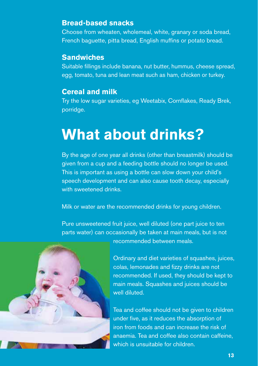#### **Bread-based snacks**

Choose from wheaten, wholemeal, white, granary or soda bread, French baguette, pitta bread, English muffins or potato bread.

#### **Sandwiches**

Suitable fillings include banana, nut butter, hummus, cheese spread, egg, tomato, tuna and lean meat such as ham, chicken or turkey.

#### **Cereal and milk**

Try the low sugar varieties, eg Weetabix, Cornflakes, Ready Brek, porridge.

## **What about drinks?**

By the age of one year all drinks (other than breastmilk) should be given from a cup and a feeding bottle should no longer be used. This is important as using a bottle can slow down your child's speech development and can also cause tooth decay, especially with sweetened drinks.

Milk or water are the recommended drinks for young children.

Pure unsweetened fruit juice, well diluted (one part juice to ten parts water) can occasionally be taken at main meals, but is not recommended between meals.



Ordinary and diet varieties of squashes, juices, colas, lemonades and fizzy drinks are not recommended. If used, they should be kept to main meals. Squashes and juices should be well diluted.

Tea and coffee should not be given to children under five, as it reduces the absorption of iron from foods and can increase the risk of anaemia. Tea and coffee also contain caffeine, which is unsuitable for children.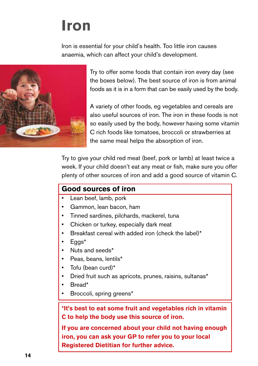## **Iron**

Iron is essential for your child's health. Too little iron causes anaemia, which can affect your child's development.



Try to offer some foods that contain iron every day (see the boxes below). The best source of iron is from animal foods as it is in a form that can be easily used by the body.

A variety of other foods, eg vegetables and cereals are also useful sources of iron. The iron in these foods is not so easily used by the body, however having some vitamin C rich foods like tomatoes, broccoli or strawberries at the same meal helps the absorption of iron.

Try to give your child red meat (beef, pork or lamb) at least twice a week. If your child doesn't eat any meat or fish, make sure you offer plenty of other sources of iron and add a good source of vitamin C.

#### **Good sources of iron**

- Lean beef, lamb, pork
- Gammon, lean bacon, ham
- Tinned sardines, pilchards, mackerel, tuna
- Chicken or turkey, especially dark meat
- Breakfast cereal with added iron (check the label)\*
- Eggs\*
- Nuts and seeds\*
- Peas, beans, lentils\*
- Tofu (bean curd)\*
- Dried fruit such as apricots, prunes, raisins, sultanas\*
- Bread\*
- Broccoli, spring greens\*

**\*It's best to eat some fruit and vegetables rich in vitamin C to help the body use this source of iron.** 

**If you are concerned about your child not having enough iron, you can ask your GP to refer you to your local Registered Dietitian for further advice.**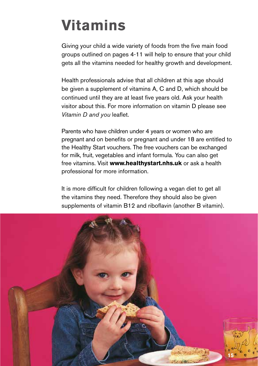# **Vitamins**

Giving your child a wide variety of foods from the five main food groups outlined on pages 4-11 will help to ensure that your child gets all the vitamins needed for healthy growth and development.

Health professionals advise that all children at this age should be given a supplement of vitamins A, C and D, which should be continued until they are at least five years old. Ask your health visitor about this. For more information on vitamin D please see *Vitamin D and you* leaflet.

Parents who have children under 4 years or women who are pregnant and on benefits or pregnant and under 18 are entitled to the Healthy Start vouchers. The free vouchers can be exchanged for milk, fruit, vegetables and infant formula. You can also get free vitamins. Visit **www.healthystart.nhs.uk** or ask a health professional for more information.

It is more difficult for children following a vegan diet to get all the vitamins they need. Therefore they should also be given supplements of vitamin B12 and riboflavin (another B vitamin).

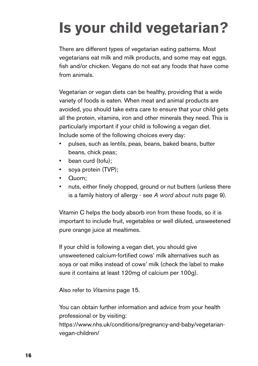# **Is your child vegetarian?**

There are different types of vegetarian eating patterns. Most vegetarians eat milk and milk products, and some may eat eggs, fish and/or chicken. Vegans do not eat any foods that have come from animals.

Vegetarian or vegan diets can be healthy, providing that a wide variety of foods is eaten. When meat and animal products are avoided, you should take extra care to ensure that your child gets all the protein, vitamins, iron and other minerals they need. This is particularly important if your child is following a vegan diet. Include some of the following choices every day:

- pulses, such as lentils, peas, beans, baked beans, butter beans, chick peas;
- bean curd (tofu);
- soya protein (TVP);
- Quorn;
- nuts, either finely chopped, ground or nut butters (unless there is a family history of allergy - see *A word about nuts* page 9).

Vitamin C helps the body absorb iron from these foods, so it is important to include fruit, vegetables or well diluted, unsweetened pure orange juice at mealtimes.

If your child is following a vegan diet, you should give unsweetened calcium-fortified cows' milk alternatives such as soya or oat milks instead of cows' milk (check the label to make sure it contains at least 120mg of calcium per 100g).

Also refer to *Vitamins* page 15.

You can obtain further information and advice from your health professional or by visiting: https://www.nhs.uk/conditions/pregnancy-and-baby/vegetarianvegan-children/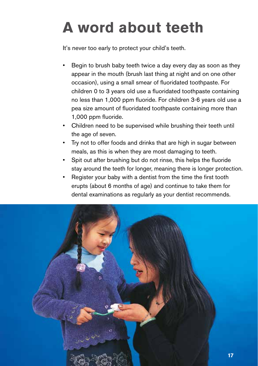# **A word about teeth**

It's never too early to protect your child's teeth.

- Begin to brush baby teeth twice a day every day as soon as they appear in the mouth (brush last thing at night and on one other occasion), using a small smear of fluoridated toothpaste. For children 0 to 3 years old use a fluoridated toothpaste containing no less than 1,000 ppm fluoride. For children 3-6 years old use a pea size amount of fluoridated toothpaste containing more than 1,000 ppm fluoride.
- Children need to be supervised while brushing their teeth until the age of seven.
- Try not to offer foods and drinks that are high in sugar between meals, as this is when they are most damaging to teeth.
- Spit out after brushing but do not rinse, this helps the fluoride stay around the teeth for longer, meaning there is longer protection.
- Register your baby with a dentist from the time the first tooth erupts (about 6 months of age) and continue to take them for dental examinations as regularly as your dentist recommends.

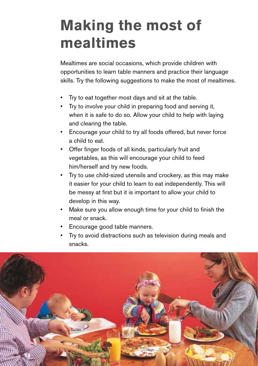## **Making the most of mealtimes**

Mealtimes are social occasions, which provide children with opportunities to learn table manners and practice their language skills. Try the following suggestions to make the most of mealtimes.

- Try to eat together most days and sit at the table.
- Try to involve your child in preparing food and serving it, when it is safe to do so. Allow your child to help with laying and clearing the table.
- Encourage your child to try all foods offered, but never force a child to eat.
- Offer finger foods of all kinds, particularly fruit and vegetables, as this will encourage your child to feed him/herself and try new foods.
- Try to use child-sized utensils and crockery, as this may make it easier for your child to learn to eat independently. This will be messy at first but it is important to allow your child to develop in this way.
- Make sure you allow enough time for your child to finish the meal or snack.
- Encourage good table manners.
- Try to avoid distractions such as television during meals and snacks.

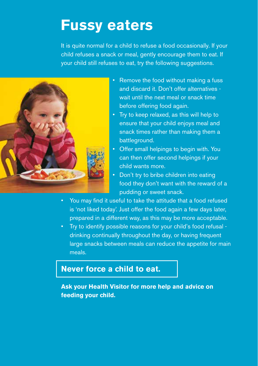### **Fussy eaters**

It is quite normal for a child to refuse a food occasionally. If your child refuses a snack or meal, gently encourage them to eat. If your child still refuses to eat, try the following suggestions.



- Remove the food without making a fuss and discard it. Don't offer alternatives wait until the next meal or snack time before offering food again.
- Try to keep relaxed, as this will help to ensure that your child enjoys meal and snack times rather than making them a battleground.
- Offer small helpings to begin with. You can then offer second helpings if your child wants more.
- Don't try to bribe children into eating food they don't want with the reward of a pudding or sweet snack.
- You may find it useful to take the attitude that a food refused is 'not liked today'. Just offer the food again a few days later, prepared in a different way, as this may be more acceptable.
- Try to identify possible reasons for your child's food refusal drinking continually throughout the day, or having frequent large snacks between meals can reduce the appetite for main meals.

### **Never force a child to eat.**

**Ask your Health Visitor for more help and advice on feeding your child.**